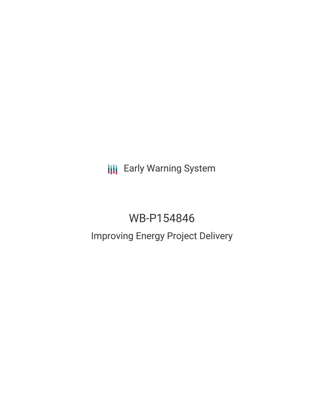**III** Early Warning System

# WB-P154846 Improving Energy Project Delivery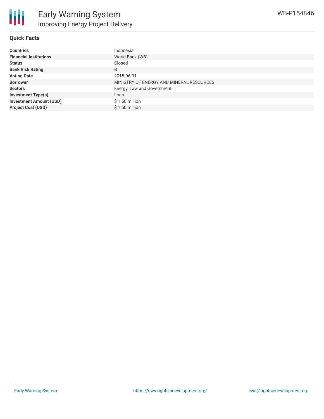

#### **Quick Facts**

| <b>Countries</b>               | Indonesia                                |
|--------------------------------|------------------------------------------|
| <b>Financial Institutions</b>  | World Bank (WB)                          |
| <b>Status</b>                  | Closed                                   |
| <b>Bank Risk Rating</b>        | B                                        |
| <b>Voting Date</b>             | 2015-06-01                               |
| <b>Borrower</b>                | MINISTRY OF ENERGY AND MINERAL RESOURCES |
| <b>Sectors</b>                 | Energy, Law and Government               |
| <b>Investment Type(s)</b>      | Loan                                     |
| <b>Investment Amount (USD)</b> | $$1.50$ million                          |
| <b>Project Cost (USD)</b>      | $$1.50$ million                          |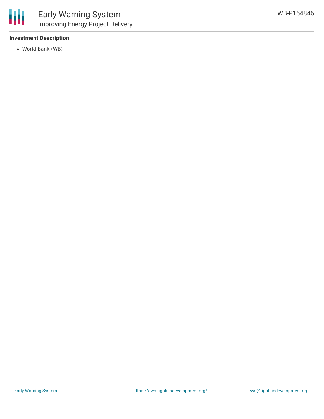

#### **Investment Description**

World Bank (WB)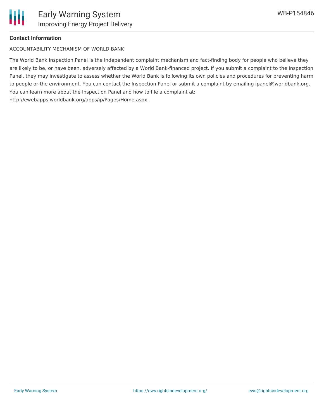#### **Contact Information**

ACCOUNTABILITY MECHANISM OF WORLD BANK

The World Bank Inspection Panel is the independent complaint mechanism and fact-finding body for people who believe they are likely to be, or have been, adversely affected by a World Bank-financed project. If you submit a complaint to the Inspection Panel, they may investigate to assess whether the World Bank is following its own policies and procedures for preventing harm to people or the environment. You can contact the Inspection Panel or submit a complaint by emailing ipanel@worldbank.org. You can learn more about the Inspection Panel and how to file a complaint at: http://ewebapps.worldbank.org/apps/ip/Pages/Home.aspx.